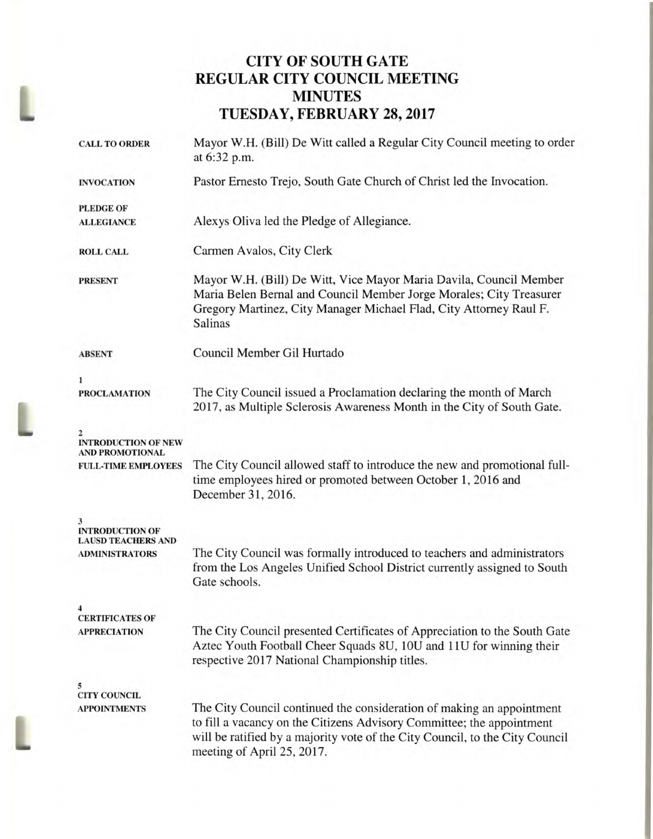## **CITY OF SOUTH GATE REGULAR CITY COUNCIL MEETING MINUTES TUESDAY, FEBRUARY 28, 2017**

L

|  | <b>CALL TO ORDER</b>                                     | Mayor W.H. (Bill) De Witt called a Regular City Council meeting to order<br>at 6:32 p.m.                                                                                                                                                                     |  |  |
|--|----------------------------------------------------------|--------------------------------------------------------------------------------------------------------------------------------------------------------------------------------------------------------------------------------------------------------------|--|--|
|  | <b>INVOCATION</b>                                        | Pastor Ernesto Trejo, South Gate Church of Christ led the Invocation.                                                                                                                                                                                        |  |  |
|  | <b>PLEDGE OF</b>                                         |                                                                                                                                                                                                                                                              |  |  |
|  | <b>ALLEGIANCE</b>                                        | Alexys Oliva led the Pledge of Allegiance.                                                                                                                                                                                                                   |  |  |
|  | <b>ROLL CALL</b>                                         | Carmen Avalos, City Clerk                                                                                                                                                                                                                                    |  |  |
|  | <b>PRESENT</b>                                           | Mayor W.H. (Bill) De Witt, Vice Mayor Maria Davila, Council Member<br>Maria Belen Bernal and Council Member Jorge Morales; City Treasurer<br>Gregory Martinez, City Manager Michael Flad, City Attorney Raul F.<br><b>Salinas</b>                            |  |  |
|  | <b>ABSENT</b>                                            | Council Member Gil Hurtado                                                                                                                                                                                                                                   |  |  |
|  | 1                                                        |                                                                                                                                                                                                                                                              |  |  |
|  | <b>PROCLAMATION</b>                                      | The City Council issued a Proclamation declaring the month of March<br>2017, as Multiple Sclerosis Awareness Month in the City of South Gate.                                                                                                                |  |  |
|  | 2<br><b>INTRODUCTION OF NEW</b><br>AND PROMOTIONAL       |                                                                                                                                                                                                                                                              |  |  |
|  | <b>FULL-TIME EMPLOYEES</b>                               | The City Council allowed staff to introduce the new and promotional full-<br>time employees hired or promoted between October 1, 2016 and<br>December 31, 2016.                                                                                              |  |  |
|  | 3<br><b>INTRODUCTION OF</b><br><b>LAUSD TEACHERS AND</b> |                                                                                                                                                                                                                                                              |  |  |
|  | <b>ADMINISTRATORS</b>                                    | The City Council was formally introduced to teachers and administrators<br>from the Los Angeles Unified School District currently assigned to South<br>Gate schools.                                                                                         |  |  |
|  | 4<br><b>CERTIFICATES OF</b>                              |                                                                                                                                                                                                                                                              |  |  |
|  | <b>APPRECIATION</b>                                      | The City Council presented Certificates of Appreciation to the South Gate<br>Aztec Youth Football Cheer Squads 8U, 10U and 11U for winning their<br>respective 2017 National Championship titles.                                                            |  |  |
|  | 5<br><b>CITY COUNCIL</b>                                 |                                                                                                                                                                                                                                                              |  |  |
|  | <b>APPOINTMENTS</b>                                      | The City Council continued the consideration of making an appointment<br>to fill a vacancy on the Citizens Advisory Committee; the appointment<br>will be ratified by a majority vote of the City Council, to the City Council<br>meeting of April 25, 2017. |  |  |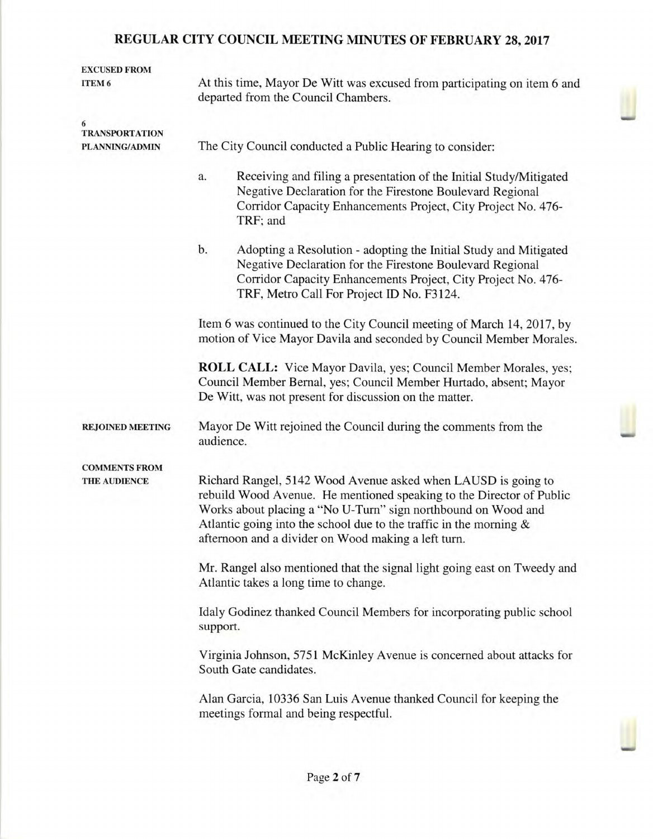| <b>EXCUSED FROM</b><br>ITEM 6                                                     | At this time, Mayor De Witt was excused from participating on item 6 and<br>departed from the Council Chambers.                                                                                                                                                                                                                        |  |  |  |  |
|-----------------------------------------------------------------------------------|----------------------------------------------------------------------------------------------------------------------------------------------------------------------------------------------------------------------------------------------------------------------------------------------------------------------------------------|--|--|--|--|
| 6<br><b>TRANSPORTATION</b><br>PLANNING/ADMIN                                      | The City Council conducted a Public Hearing to consider:                                                                                                                                                                                                                                                                               |  |  |  |  |
|                                                                                   | Receiving and filing a presentation of the Initial Study/Mitigated<br>a.<br>Negative Declaration for the Firestone Boulevard Regional<br>Corridor Capacity Enhancements Project, City Project No. 476-<br>TRF; and                                                                                                                     |  |  |  |  |
|                                                                                   | b.<br>Adopting a Resolution - adopting the Initial Study and Mitigated<br>Negative Declaration for the Firestone Boulevard Regional<br>Corridor Capacity Enhancements Project, City Project No. 476-<br>TRF, Metro Call For Project ID No. F3124.                                                                                      |  |  |  |  |
|                                                                                   | Item 6 was continued to the City Council meeting of March 14, 2017, by<br>motion of Vice Mayor Davila and seconded by Council Member Morales.                                                                                                                                                                                          |  |  |  |  |
|                                                                                   | ROLL CALL: Vice Mayor Davila, yes; Council Member Morales, yes;<br>Council Member Bernal, yes; Council Member Hurtado, absent; Mayor<br>De Witt, was not present for discussion on the matter.                                                                                                                                         |  |  |  |  |
| <b>REJOINED MEETING</b>                                                           | Mayor De Witt rejoined the Council during the comments from the<br>audience.                                                                                                                                                                                                                                                           |  |  |  |  |
| <b>COMMENTS FROM</b><br>THE AUDIENCE                                              | Richard Rangel, 5142 Wood Avenue asked when LAUSD is going to<br>rebuild Wood Avenue. He mentioned speaking to the Director of Public<br>Works about placing a "No U-Turn" sign northbound on Wood and<br>Atlantic going into the school due to the traffic in the morning $\&$<br>afternoon and a divider on Wood making a left turn. |  |  |  |  |
|                                                                                   | Mr. Rangel also mentioned that the signal light going east on Tweedy and<br>Atlantic takes a long time to change.                                                                                                                                                                                                                      |  |  |  |  |
| Idaly Godinez thanked Council Members for incorporating public school<br>support. |                                                                                                                                                                                                                                                                                                                                        |  |  |  |  |
|                                                                                   | Virginia Johnson, 5751 McKinley Avenue is concerned about attacks for<br>South Gate candidates.                                                                                                                                                                                                                                        |  |  |  |  |
|                                                                                   | Alan Garcia, 10336 San Luis Avenue thanked Council for keeping the<br>meetings formal and being respectful.                                                                                                                                                                                                                            |  |  |  |  |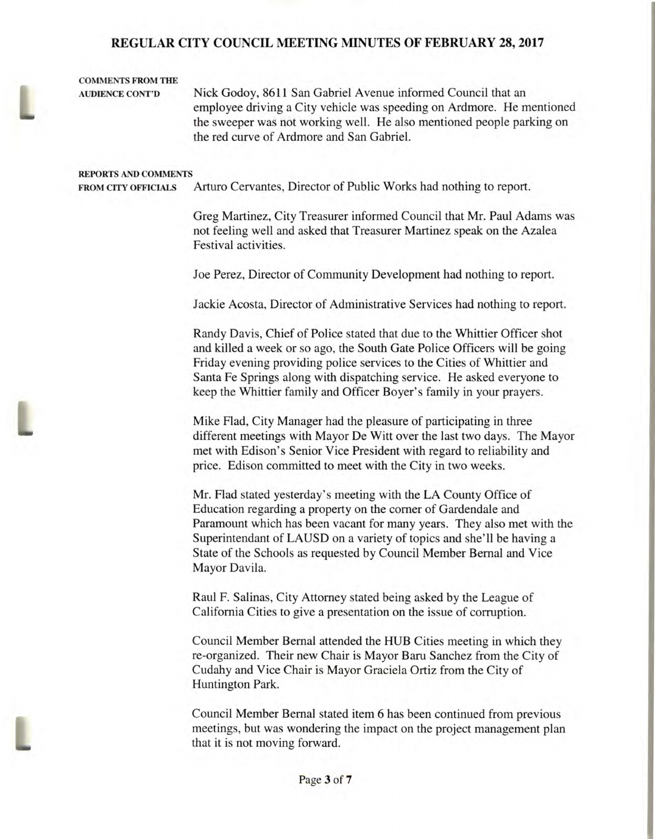#### **COMMENTS FROM THE**

**AUDIENCE CONT'D** Nick Godoy, 8611 San Gabriel Avenue informed Council that an employee driving a City vehicle was speeding on Ardmore. He mentioned the sweeper was not working well. He also mentioned people parking on the red curve of Ardmore and San Gabriel.

#### **REPORTS AND COMMENTS**

**FROM CITY OFFICIALS** Arturo Cervantes, Director of Public Works had nothing to report.

Greg Martinez, City Treasurer informed Council that Mr. Paul Adams was not feeling well and asked that Treasurer Martinez speak on the Azalea Festival activities.

Joe Perez, Director of Community Development had nothing to report.

Jackie Acosta, Director of Administrative Services had nothing to report.

Randy Davis, Chief of Police stated that due to the Whittier Officer shot and killed a week or so ago, the South Gate Police Officers will be going Friday evening providing police services to the Cities of Whittier and Santa Fe Springs along with dispatching service. He asked everyone to keep the Whittier family and Officer Boyer's family in your prayers.

Mike Flad, City Manager had the pleasure of participating in three different meetings with Mayor De Witt over the last two days. The Mayor met with Edison's Senior Vice President with regard to reliability and price. Edison committed to meet with the City in two weeks.

> Mr. Had stated yesterday's meeting with the LA County Office of Education regarding a property on the corner of Gardendale and Paramount which has been vacant for many years. They also met with the Superintendant of LAUSD on a variety of topics and she'll be having a State of the Schools as requested by Council Member Bernal and Vice Mayor Davila.

Raul F. Salinas, City Attorney stated being asked by the League of California Cities to give a presentation on the issue of corruption.

Council Member Bernal attended the HUB Cities meeting in which they re-organized. Their new Chair is Mayor Baru Sanchez from the City of Cudahy and Vice Chair is Mayor Graciela Ortiz from the City of Huntington Park.

Council Member Bernal stated item 6 has been continued from previous meetings, but was wondering the impact on the project management plan that it is not moving forward.



L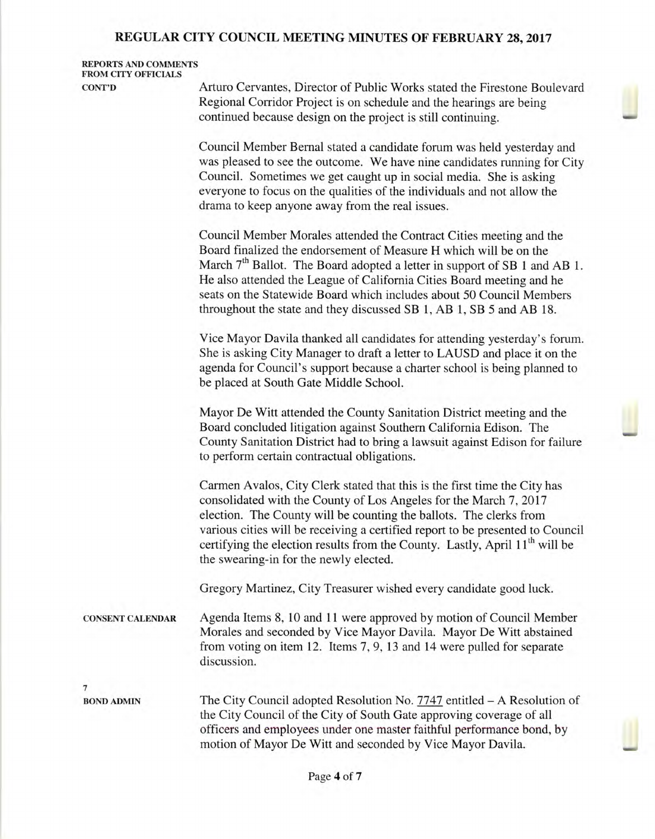#### **REPORTS AND COMMENTS FROM CITY OFFICIALS**

**CONT'D** Arturo Cervantes, Director of Public Works stated the Firestone Boulevard Regional Corridor Project is on schedule and the hearings are being continued because design on the project is still continuing.

> Council Member Bernal stated a candidate forum was held yesterday and was pleased to see the outcome. We have nine candidates running for City Council. Sometimes we get caught up in social media. She is asking everyone to focus on the qualities of the individuals and not allow the drama to keep anyone away from the real issues.

> Council Member Morales attended the Contract Cities meeting and the Board finalized the endorsement of Measure H which will be on the March  $7<sup>th</sup>$  Ballot. The Board adopted a letter in support of SB 1 and AB 1. He also attended the League of California Cities Board meeting and he seats on the Statewide Board which includes about 50 Council Members throughout the state and they discussed SB 1, AB 1, SB 5 and AB 18.

> Vice Mayor Davila thanked all candidates for attending yesterday's forum. She is asking City Manager to draft a letter to LAUSD and place it on the agenda for Council's support because a charter school is being planned to be placed at South Gate Middle School.

> Mayor De Witt attended the County Sanitation District meeting and the Board concluded litigation against Southern California Edison. The County Sanitation District had to bring a lawsuit against Edison for failure to perform certain contractual obligations.

> Carmen Avalos, City Clerk stated that this is the first time the City has consolidated with the County of Los Angeles for the March 7, 2017 election. The County will be counting the ballots. The clerks from various cities will be receiving a certified report to be presented to Council certifying the election results from the County. Lastly, April  $11<sup>th</sup>$  will be the swearing-in for the newly elected.

Gregory Martinez, City Treasurer wished every candidate good luck.

**CONSENT CALENDAR** Agenda Items 8, 10 and 11 were approved by motion of Council Member Morales and seconded by Vice Mayor Davila. Mayor De Witt abstained from voting on item 12. Items 7, 9, 13 and 14 were pulled for separate discussion.

**7** 

**BOND ADMIN** The City Council adopted Resolution No. 7747 entitled — A Resolution of the City Council of the City of South Gate approving coverage of all officers and employees under one master faithful performance bond, by motion of Mayor De Witt and seconded by Vice Mayor Davila.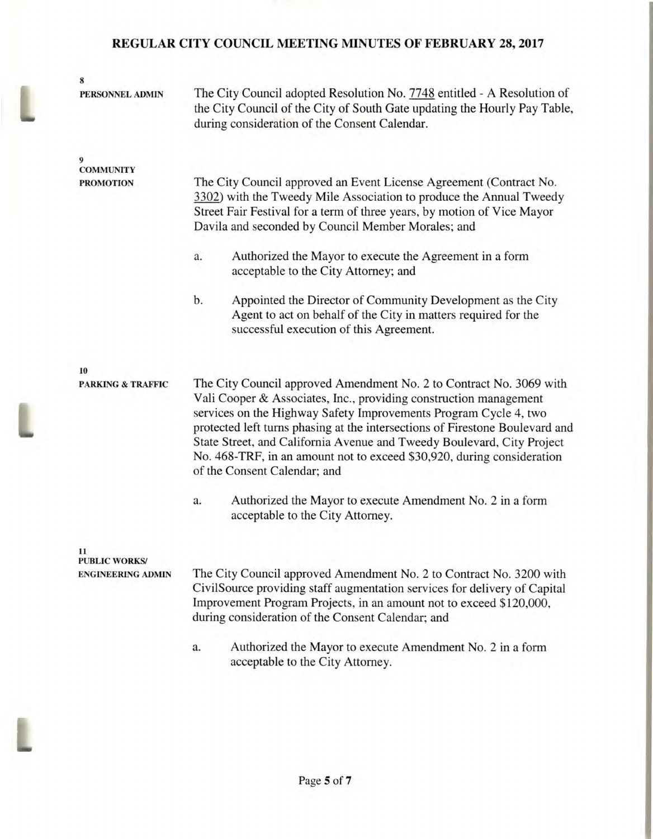| 8                            |                                                                                                                                                                                                                                                                                                                                                                                                                                                                                  |  |  |  |
|------------------------------|----------------------------------------------------------------------------------------------------------------------------------------------------------------------------------------------------------------------------------------------------------------------------------------------------------------------------------------------------------------------------------------------------------------------------------------------------------------------------------|--|--|--|
| PERSONNEL ADMIN              | The City Council adopted Resolution No. 7748 entitled - A Resolution of<br>the City Council of the City of South Gate updating the Hourly Pay Table,<br>during consideration of the Consent Calendar.                                                                                                                                                                                                                                                                            |  |  |  |
| 9<br><b>COMMUNITY</b>        |                                                                                                                                                                                                                                                                                                                                                                                                                                                                                  |  |  |  |
| <b>PROMOTION</b>             | The City Council approved an Event License Agreement (Contract No.<br>3302) with the Tweedy Mile Association to produce the Annual Tweedy<br>Street Fair Festival for a term of three years, by motion of Vice Mayor<br>Davila and seconded by Council Member Morales; and                                                                                                                                                                                                       |  |  |  |
|                              | Authorized the Mayor to execute the Agreement in a form<br>a.<br>acceptable to the City Attorney; and                                                                                                                                                                                                                                                                                                                                                                            |  |  |  |
|                              | Appointed the Director of Community Development as the City<br>b.<br>Agent to act on behalf of the City in matters required for the<br>successful execution of this Agreement.                                                                                                                                                                                                                                                                                                   |  |  |  |
| 10                           |                                                                                                                                                                                                                                                                                                                                                                                                                                                                                  |  |  |  |
| <b>PARKING &amp; TRAFFIC</b> | The City Council approved Amendment No. 2 to Contract No. 3069 with<br>Vali Cooper & Associates, Inc., providing construction management<br>services on the Highway Safety Improvements Program Cycle 4, two<br>protected left turns phasing at the intersections of Firestone Boulevard and<br>State Street, and California Avenue and Tweedy Boulevard, City Project<br>No. 468-TRF, in an amount not to exceed \$30,920, during consideration<br>of the Consent Calendar; and |  |  |  |
|                              | Authorized the Mayor to execute Amendment No. 2 in a form<br>a.<br>acceptable to the City Attorney.                                                                                                                                                                                                                                                                                                                                                                              |  |  |  |
| 11<br><b>PUBLIC WORKS/</b>   |                                                                                                                                                                                                                                                                                                                                                                                                                                                                                  |  |  |  |
| <b>ENGINEERING ADMIN</b>     | The City Council approved Amendment No. 2 to Contract No. 3200 with                                                                                                                                                                                                                                                                                                                                                                                                              |  |  |  |

CivilSource providing staff augmentation services for delivery of Capital Improvement Program Projects, in an amount not to exceed \$120,000, during consideration of the Consent Calendar; and

a. Authorized the Mayor to execute Amendment No. 2 in a form acceptable to the City Attorney.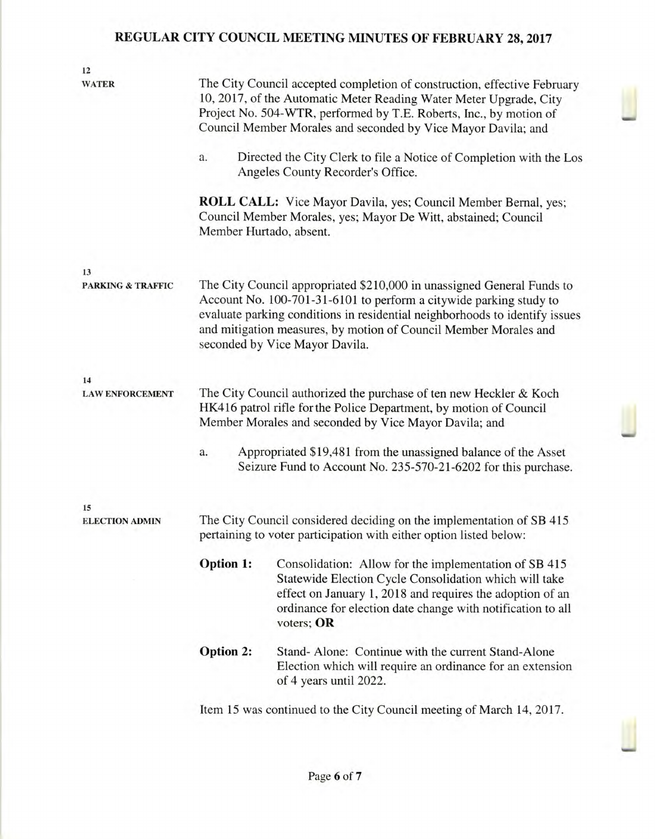| 12                                 |                                                                                                                                                                                                                                                                                                                                   |                                                                                                                                                                                                                                                           |  |  |  |  |
|------------------------------------|-----------------------------------------------------------------------------------------------------------------------------------------------------------------------------------------------------------------------------------------------------------------------------------------------------------------------------------|-----------------------------------------------------------------------------------------------------------------------------------------------------------------------------------------------------------------------------------------------------------|--|--|--|--|
| <b>WATER</b>                       | The City Council accepted completion of construction, effective February<br>10, 2017, of the Automatic Meter Reading Water Meter Upgrade, City<br>Project No. 504-WTR, performed by T.E. Roberts, Inc., by motion of<br>Council Member Morales and seconded by Vice Mayor Davila; and                                             |                                                                                                                                                                                                                                                           |  |  |  |  |
|                                    | Directed the City Clerk to file a Notice of Completion with the Los<br>a.<br>Angeles County Recorder's Office.                                                                                                                                                                                                                    |                                                                                                                                                                                                                                                           |  |  |  |  |
|                                    | <b>ROLL CALL:</b> Vice Mayor Davila, yes; Council Member Bernal, yes;<br>Council Member Morales, yes; Mayor De Witt, abstained; Council<br>Member Hurtado, absent.                                                                                                                                                                |                                                                                                                                                                                                                                                           |  |  |  |  |
| 13<br><b>PARKING &amp; TRAFFIC</b> | The City Council appropriated \$210,000 in unassigned General Funds to<br>Account No. 100-701-31-6101 to perform a citywide parking study to<br>evaluate parking conditions in residential neighborhoods to identify issues<br>and mitigation measures, by motion of Council Member Morales and<br>seconded by Vice Mayor Davila. |                                                                                                                                                                                                                                                           |  |  |  |  |
| 14                                 |                                                                                                                                                                                                                                                                                                                                   |                                                                                                                                                                                                                                                           |  |  |  |  |
| <b>LAW ENFORCEMENT</b>             | The City Council authorized the purchase of ten new Heckler & Koch<br>HK416 patrol rifle for the Police Department, by motion of Council<br>Member Morales and seconded by Vice Mayor Davila; and                                                                                                                                 |                                                                                                                                                                                                                                                           |  |  |  |  |
|                                    | Appropriated \$19,481 from the unassigned balance of the Asset<br>a.<br>Seizure Fund to Account No. 235-570-21-6202 for this purchase.                                                                                                                                                                                            |                                                                                                                                                                                                                                                           |  |  |  |  |
| 15                                 |                                                                                                                                                                                                                                                                                                                                   |                                                                                                                                                                                                                                                           |  |  |  |  |
| <b>ELECTION ADMIN</b>              | The City Council considered deciding on the implementation of SB 415<br>pertaining to voter participation with either option listed below:                                                                                                                                                                                        |                                                                                                                                                                                                                                                           |  |  |  |  |
|                                    | Option 1:                                                                                                                                                                                                                                                                                                                         | Consolidation: Allow for the implementation of SB 415<br>Statewide Election Cycle Consolidation which will take<br>effect on January 1, 2018 and requires the adoption of an<br>ordinance for election date change with notification to all<br>voters; OR |  |  |  |  |
|                                    | <b>Option 2:</b>                                                                                                                                                                                                                                                                                                                  | Stand- Alone: Continue with the current Stand-Alone<br>Election which will require an ordinance for an extension<br>of 4 years until 2022.                                                                                                                |  |  |  |  |
|                                    |                                                                                                                                                                                                                                                                                                                                   | Item 15 was continued to the City Council meeting of March 14, 2017.                                                                                                                                                                                      |  |  |  |  |